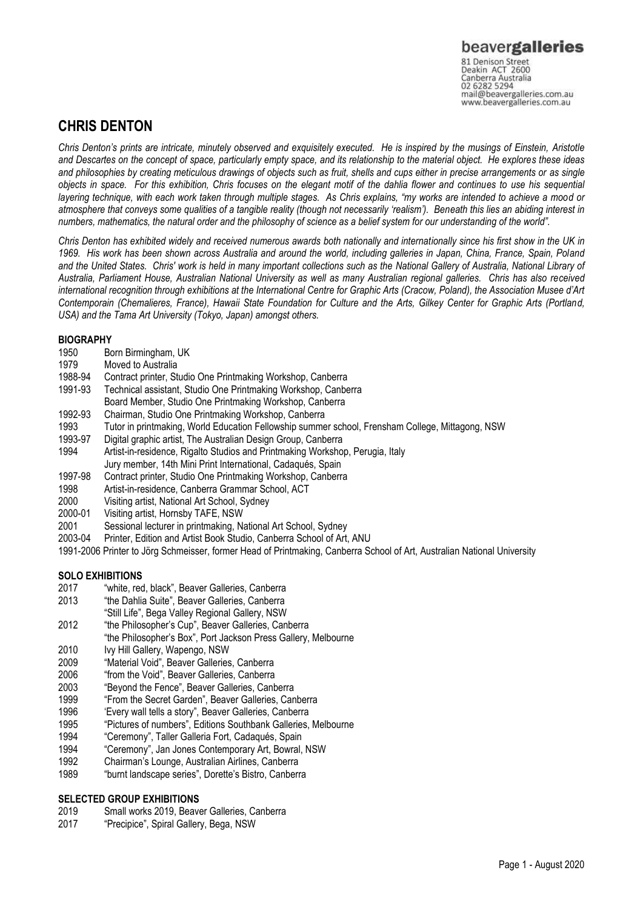Canberra Australia mail@beavergalleries.com.au www.beavergalleries.com.au

# **CHRIS DENTON**

*Chris Denton's prints are intricate, minutely observed and exquisitely executed. He is inspired by the musings of Einstein, Aristotle and Descartes on the concept of space, particularly empty space, and its relationship to the material object. He explores these ideas and philosophies by creating meticulous drawings of objects such as fruit, shells and cups either in precise arrangements or as single objects in space. For this exhibition, Chris focuses on the elegant motif of the dahlia flower and continues to use his sequential layering technique, with each work taken through multiple stages. As Chris explains, "my works are intended to achieve a mood or atmosphere that conveys some qualities of a tangible reality (though not necessarily 'realism'). Beneath this lies an abiding interest in numbers, mathematics, the natural order and the philosophy of science as a belief system for our understanding of the world".*

*Chris Denton has exhibited widely and received numerous awards both nationally and internationally since his first show in the UK in 1969. His work has been shown across Australia and around the world, including galleries in Japan, China, France, Spain, Poland and the United States. Chris' work is held in many important collections such as the National Gallery of Australia, National Library of Australia, Parliament House, Australian National University as well as many Australian regional galleries. Chris has also received*  international recognition through exhibitions at the International Centre for Graphic Arts (Cracow, Poland), the Association Musee d'Art *Contemporain (Chemalieres, France), Hawaii State Foundation for Culture and the Arts, Gilkey Center for Graphic Arts (Portland, USA) and the Tama Art University (Tokyo, Japan) amongst others.*

## **BIOGRAPHY**

- 1950 Born Birmingham, UK
- 1979 Moved to Australia<br>1988-94 Contract printer, St
- 1988-94 Contract printer, Studio One Printmaking Workshop, Canberra
- Technical assistant, Studio One Printmaking Workshop, Canberra Board Member, Studio One Printmaking Workshop, Canberra
- 1992-93 Chairman, Studio One Printmaking Workshop, Canberra
- 1993 Tutor in printmaking, World Education Fellowship summer school, Frensham College, Mittagong, NSW
- 1993-97 Digital graphic artist, The Australian Design Group, Canberra 1994 Artist-in-residence, Rigalto Studios and Printmaking Workshop, Perugia, Italy
- Jury member, 14th Mini Print International, Cadaqués, Spain
- 1997-98 Contract printer, Studio One Printmaking Workshop, Canberra
- 1998 Artist-in-residence, Canberra Grammar School, ACT
- 2000 Visiting artist, National Art School, Sydney<br>2000-01 Visiting artist. Hornsby TAFE, NSW
- Visiting artist, Hornsby TAFE, NSW
- 2001 Sessional lecturer in printmaking, National Art School, Sydney
- 2003-04 Printer, Edition and Artist Book Studio, Canberra School of Art, ANU
- 1991-2006 Printer to Jörg Schmeisser, former Head of Printmaking, Canberra School of Art, Australian National University

#### **SOLO EXHIBITIONS**

- 2017 "white, red, black", Beaver Galleries, Canberra
- 2013 "the Dahlia Suite", Beaver Galleries, Canberra
- "Still Life", Bega Valley Regional Gallery, NSW
- 2012 "the Philosopher's Cup", Beaver Galleries, Canberra
- "the Philosopher's Box", Port Jackson Press Gallery, Melbourne
- 2010 Ivy Hill Gallery, Wapengo, NSW
- 2009 "Material Void", Beaver Galleries, Canberra
- 2006 "from the Void", Beaver Galleries, Canberra
- 2003 "Beyond the Fence", Beaver Galleries, Canberra
- 1999 "From the Secret Garden", Beaver Galleries, Canberra
- 1996 'Every wall tells a story", Beaver Galleries, Canberra
- 1995 "Pictures of numbers", Editions Southbank Galleries, Melbourne
- 1994 "Ceremony", Taller Galleria Fort, Cadaqués, Spain
- 1994 "Ceremony", Jan Jones Contemporary Art, Bowral, NSW
- 1992 Chairman's Lounge, Australian Airlines, Canberra
- 1989 "burnt landscape series", Dorette's Bistro, Canberra

### **SELECTED GROUP EXHIBITIONS**

- 2019 Small works 2019, Beaver Galleries, Canberra
- 2017 "Precipice", Spiral Gallery, Bega, NSW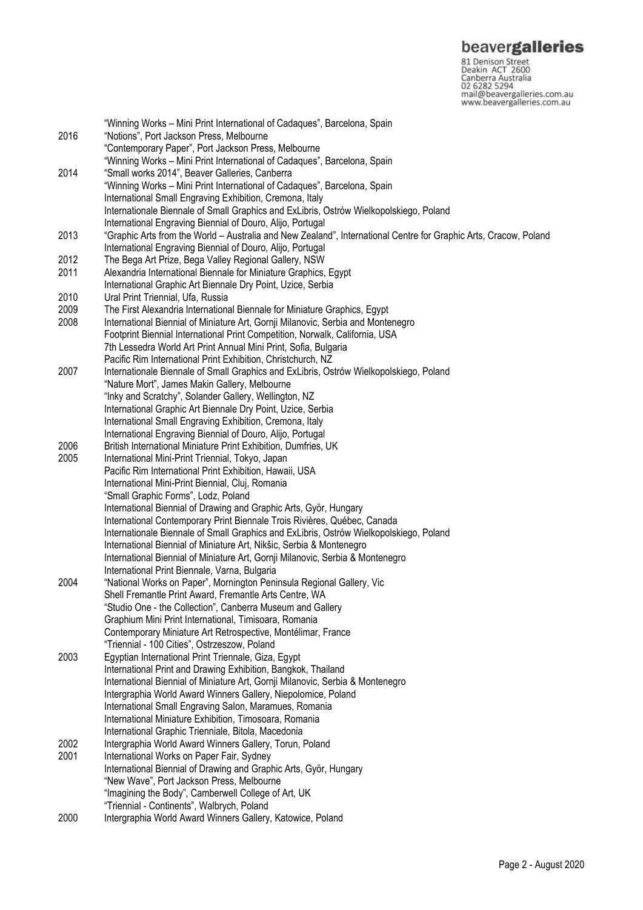Samerica<br>
S1 Denison Street<br>
Canberra Australia<br>
C2 6282 5294<br>
mail@beavergalleries.com.au<br>
www.beavergalleries.com.au

|              | "Winning Works – Mini Print International of Cadaques", Barcelona, Spain                                         |
|--------------|------------------------------------------------------------------------------------------------------------------|
| 2016         | "Notions", Port Jackson Press, Melbourne                                                                         |
|              | "Contemporary Paper", Port Jackson Press, Melbourne                                                              |
|              | "Winning Works - Mini Print International of Cadaques", Barcelona, Spain                                         |
| 2014         | "Small works 2014", Beaver Galleries, Canberra                                                                   |
|              | "Winning Works - Mini Print International of Cadaques", Barcelona, Spain                                         |
|              | International Small Engraving Exhibition, Cremona, Italy                                                         |
|              |                                                                                                                  |
|              | Internationale Biennale of Small Graphics and ExLibris, Ostrów Wielkopolskiego, Poland                           |
|              | International Engraving Biennial of Douro, Alijo, Portugal                                                       |
| 2013         | "Graphic Arts from the World – Australia and New Zealand", International Centre for Graphic Arts, Cracow, Poland |
|              | International Engraving Biennial of Douro, Alijo, Portugal                                                       |
| 2012         | The Bega Art Prize, Bega Valley Regional Gallery, NSW                                                            |
| 2011         | Alexandria International Biennale for Miniature Graphics, Egypt                                                  |
|              | International Graphic Art Biennale Dry Point, Uzice, Serbia                                                      |
| 2010         | Ural Print Triennial, Ufa, Russia                                                                                |
| 2009         | The First Alexandria International Biennale for Miniature Graphics, Egypt                                        |
| 2008         | International Biennial of Miniature Art, Gornji Milanovic, Serbia and Montenegro                                 |
|              | Footprint Biennial International Print Competition, Norwalk, California, USA                                     |
|              | 7th Lessedra World Art Print Annual Mini Print, Sofia, Bulgaria                                                  |
|              | Pacific Rim International Print Exhibition, Christchurch, NZ                                                     |
| 2007         | Internationale Biennale of Small Graphics and ExLibris, Ostrów Wielkopolskiego, Poland                           |
|              | "Nature Mort", James Makin Gallery, Melbourne                                                                    |
|              | "Inky and Scratchy", Solander Gallery, Wellington, NZ                                                            |
|              | International Graphic Art Biennale Dry Point, Uzice, Serbia                                                      |
|              | International Small Engraving Exhibition, Cremona, Italy                                                         |
|              | International Engraving Biennial of Douro, Alijo, Portugal                                                       |
| 2006         | British International Miniature Print Exhibition, Dumfries, UK                                                   |
| 2005         |                                                                                                                  |
|              | International Mini-Print Triennial, Tokyo, Japan                                                                 |
|              | Pacific Rim International Print Exhibition, Hawaii, USA                                                          |
|              | International Mini-Print Biennial, Cluj, Romania                                                                 |
|              | "Small Graphic Forms", Lodz, Poland                                                                              |
|              | International Biennial of Drawing and Graphic Arts, Györ, Hungary                                                |
|              | International Contemporary Print Biennale Trois Rivières, Québec, Canada                                         |
|              | Internationale Biennale of Small Graphics and ExLibris, Ostrów Wielkopolskiego, Poland                           |
|              | International Biennial of Miniature Art, Nikšic, Serbia & Montenegro                                             |
|              | International Biennial of Miniature Art, Gornji Milanovic, Serbia & Montenegro                                   |
|              | International Print Biennale, Varna, Bulgaria                                                                    |
| 2004         | "National Works on Paper", Mornington Peninsula Regional Gallery, Vic                                            |
|              | Shell Fremantle Print Award, Fremantle Arts Centre, WA                                                           |
|              | "Studio One - the Collection", Canberra Museum and Gallery                                                       |
|              | Graphium Mini Print International, Timisoara, Romania                                                            |
|              | Contemporary Miniature Art Retrospective, Montélimar, France                                                     |
|              | "Triennial - 100 Cities", Ostrzeszow, Poland                                                                     |
| 2003<br>2002 | Egyptian International Print Triennale, Giza, Egypt                                                              |
|              | International Print and Drawing Exhibition, Bangkok, Thailand                                                    |
|              | International Biennial of Miniature Art, Gornji Milanovic, Serbia & Montenegro                                   |
|              | Intergraphia World Award Winners Gallery, Niepolomice, Poland                                                    |
|              | International Small Engraving Salon, Maramues, Romania                                                           |
|              | International Miniature Exhibition, Timosoara, Romania                                                           |
|              | International Graphic Trienniale, Bitola, Macedonia                                                              |
|              | Intergraphia World Award Winners Gallery, Torun, Poland                                                          |
| 2001         | International Works on Paper Fair, Sydney                                                                        |
|              |                                                                                                                  |
|              | International Biennial of Drawing and Graphic Arts, Györ, Hungary                                                |
|              | "New Wave", Port Jackson Press, Melbourne                                                                        |
|              | "Imagining the Body", Camberwell College of Art, UK                                                              |
|              | "Triennial - Continents", Walbrych, Poland                                                                       |
| 2000         | Intergraphia World Award Winners Gallery, Katowice, Poland                                                       |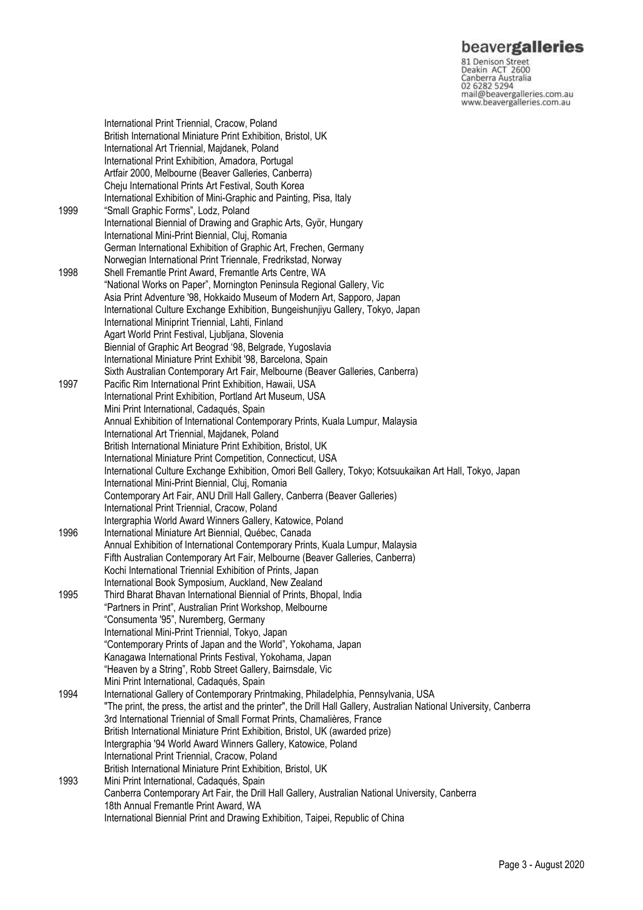## beavergalleries

81 Denison Street<br>Deakin ACT 2600 Canberra Australia mail@beavergalleries.com.au www.beavergalleries.com.au

International Print Triennial, Cracow, Poland British International Miniature Print Exhibition, Bristol, UK International Art Triennial, Majdanek, Poland International Print Exhibition, Amadora, Portugal Artfair 2000, Melbourne (Beaver Galleries, Canberra) Cheju International Prints Art Festival, South Korea International Exhibition of Mini-Graphic and Painting, Pisa, Italy 1999 "Small Graphic Forms", Lodz, Poland International Biennial of Drawing and Graphic Arts, Györ, Hungary International Mini-Print Biennial, Cluj, Romania German International Exhibition of Graphic Art, Frechen, Germany Norwegian International Print Triennale, Fredrikstad, Norway 1998 Shell Fremantle Print Award, Fremantle Arts Centre, WA "National Works on Paper", Mornington Peninsula Regional Gallery, Vic Asia Print Adventure '98, Hokkaido Museum of Modern Art, Sapporo, Japan International Culture Exchange Exhibition, Bungeishunjiyu Gallery, Tokyo, Japan International Miniprint Triennial, Lahti, Finland Agart World Print Festival, Ljubljana, Slovenia Biennial of Graphic Art Beograd '98, Belgrade, Yugoslavia International Miniature Print Exhibit '98, Barcelona, Spain Sixth Australian Contemporary Art Fair, Melbourne (Beaver Galleries, Canberra) 1997 Pacific Rim International Print Exhibition, Hawaii, USA International Print Exhibition, Portland Art Museum, USA Mini Print International, Cadaqués, Spain Annual Exhibition of International Contemporary Prints, Kuala Lumpur, Malaysia International Art Triennial, Majdanek, Poland British International Miniature Print Exhibition, Bristol, UK International Miniature Print Competition, Connecticut, USA International Culture Exchange Exhibition, Omori Bell Gallery, Tokyo; Kotsuukaikan Art Hall, Tokyo, Japan International Mini-Print Biennial, Cluj, Romania Contemporary Art Fair, ANU Drill Hall Gallery, Canberra (Beaver Galleries) International Print Triennial, Cracow, Poland Intergraphia World Award Winners Gallery, Katowice, Poland 1996 International Miniature Art Biennial, Québec, Canada Annual Exhibition of International Contemporary Prints, Kuala Lumpur, Malaysia Fifth Australian Contemporary Art Fair, Melbourne (Beaver Galleries, Canberra) Kochi International Triennial Exhibition of Prints, Japan International Book Symposium, Auckland, New Zealand 1995 Third Bharat Bhavan International Biennial of Prints, Bhopal, India "Partners in Print", Australian Print Workshop, Melbourne "Consumenta '95", Nuremberg, Germany International Mini-Print Triennial, Tokyo, Japan "Contemporary Prints of Japan and the World", Yokohama, Japan Kanagawa International Prints Festival, Yokohama, Japan "Heaven by a String", Robb Street Gallery, Bairnsdale, Vic Mini Print International, Cadaqués, Spain 1994 International Gallery of Contemporary Printmaking, Philadelphia, Pennsylvania, USA "The print, the press, the artist and the printer", the Drill Hall Gallery, Australian National University, Canberra 3rd International Triennial of Small Format Prints, Chamalières, France British International Miniature Print Exhibition, Bristol, UK (awarded prize) Intergraphia '94 World Award Winners Gallery, Katowice, Poland International Print Triennial, Cracow, Poland British International Miniature Print Exhibition, Bristol, UK 1993 Mini Print International, Cadaqués, Spain Canberra Contemporary Art Fair, the Drill Hall Gallery, Australian National University, Canberra 18th Annual Fremantle Print Award, WA International Biennial Print and Drawing Exhibition, Taipei, Republic of China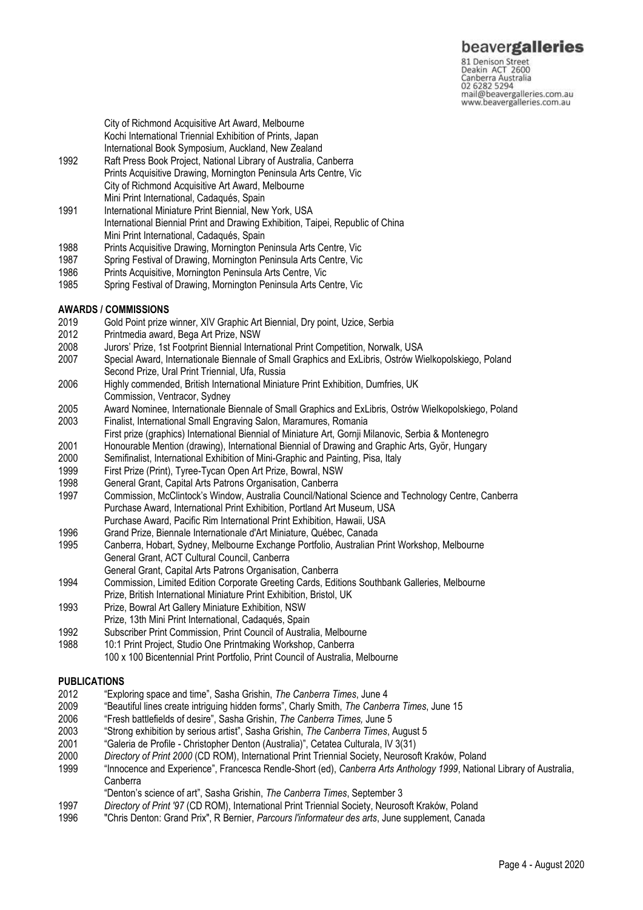## beavergalleries

81 Denison Street<br>Deakin ACT 2600 Canberra Australia mail@beavergalleries.com.au www.beavergalleries.com.au

City of Richmond Acquisitive Art Award, Melbourne Kochi International Triennial Exhibition of Prints, Japan International Book Symposium, Auckland, New Zealand

- 1992 Raft Press Book Project, National Library of Australia, Canberra Prints Acquisitive Drawing, Mornington Peninsula Arts Centre, Vic City of Richmond Acquisitive Art Award, Melbourne Mini Print International, Cadaqués, Spain
- 1991 International Miniature Print Biennial, New York, USA International Biennial Print and Drawing Exhibition, Taipei, Republic of China Mini Print International, Cadaqués, Spain
- 1988 Prints Acquisitive Drawing, Mornington Peninsula Arts Centre, Vic
- 1987 Spring Festival of Drawing, Mornington Peninsula Arts Centre, Vic
- 1986 Prints Acquisitive, Mornington Peninsula Arts Centre, Vic
- 1985 Spring Festival of Drawing, Mornington Peninsula Arts Centre, Vic

## **AWARDS / COMMISSIONS**

- 2019 Gold Point prize winner, XIV Graphic Art Biennial, Dry point, Uzice, Serbia
- 2012 Printmedia award, Bega Art Prize, NSW
- 2008 Jurors' Prize, 1st Footprint Biennial International Print Competition, Norwalk, USA
- Special Award, Internationale Biennale of Small Graphics and ExLibris, Ostrów Wielkopolskiego, Poland Second Prize, Ural Print Triennial, Ufa, Russia
- 2006 Highly commended, British International Miniature Print Exhibition, Dumfries, UK Commission, Ventracor, Sydney
- 2005 Award Nominee, Internationale Biennale of Small Graphics and ExLibris, Ostrów Wielkopolskiego, Poland 2003 Finalist, International Small Engraving Salon, Maramures, Romania
- First prize (graphics) International Biennial of Miniature Art, Gornji Milanovic, Serbia & Montenegro
- 2001 Honourable Mention (drawing), International Biennial of Drawing and Graphic Arts, Györ, Hungary
- Semifinalist, International Exhibition of Mini-Graphic and Painting, Pisa, Italy
- 1999 First Prize (Print), Tyree-Tycan Open Art Prize, Bowral, NSW
- 
- 1998 General Grant, Capital Arts Patrons Organisation, Canberra 1997 Commission, McClintock's Window, Australia Council/National Science and Technology Centre, Canberra Purchase Award, International Print Exhibition, Portland Art Museum, USA Purchase Award, Pacific Rim International Print Exhibition, Hawaii, USA
- 1996 Grand Prize, Biennale Internationale d'Art Miniature, Québec, Canada
- 1995 Canberra, Hobart, Sydney, Melbourne Exchange Portfolio, Australian Print Workshop, Melbourne General Grant, ACT Cultural Council, Canberra
- General Grant, Capital Arts Patrons Organisation, Canberra
- 1994 Commission, Limited Edition Corporate Greeting Cards, Editions Southbank Galleries, Melbourne Prize, British International Miniature Print Exhibition, Bristol, UK
- 1993 Prize, Bowral Art Gallery Miniature Exhibition, NSW
- Prize, 13th Mini Print International, Cadaqués, Spain
- 1992 Subscriber Print Commission, Print Council of Australia, Melbourne
- 1988 10:1 Print Project, Studio One Printmaking Workshop, Canberra
	- 100 x 100 Bicentennial Print Portfolio, Print Council of Australia, Melbourne

#### **PUBLICATIONS**

- 2012 "Exploring space and time", Sasha Grishin, *The Canberra Times*, June 4
- 2009 "Beautiful lines create intriguing hidden forms", Charly Smith, *The Canberra Times*, June 15
- 2006 "Fresh battlefields of desire", Sasha Grishin, *The Canberra Times,* June 5
- 2003 "Strong exhibition by serious artist", Sasha Grishin, *The Canberra Times*, August 5
- 2001 "Galeria de Profile Christopher Denton (Australia)", Cetatea Culturala, IV 3(31)
- 2000 *Directory of Print 2000* (CD ROM), International Print Triennial Society, Neurosoft Kraków, Poland
- 1999 "Innocence and Experience", Francesca Rendle-Short (ed), *Canberra Arts Anthology 1999*, National Library of Australia, Canberra
- "Denton's science of art", Sasha Grishin, *The Canberra Times*, September 3
- 1997 *Directory of Print '97* (CD ROM), International Print Triennial Society, Neurosoft Kraków, Poland
- 1996 "Chris Denton: Grand Prix", R Bernier, *Parcours l'informateur des arts*, June supplement, Canada